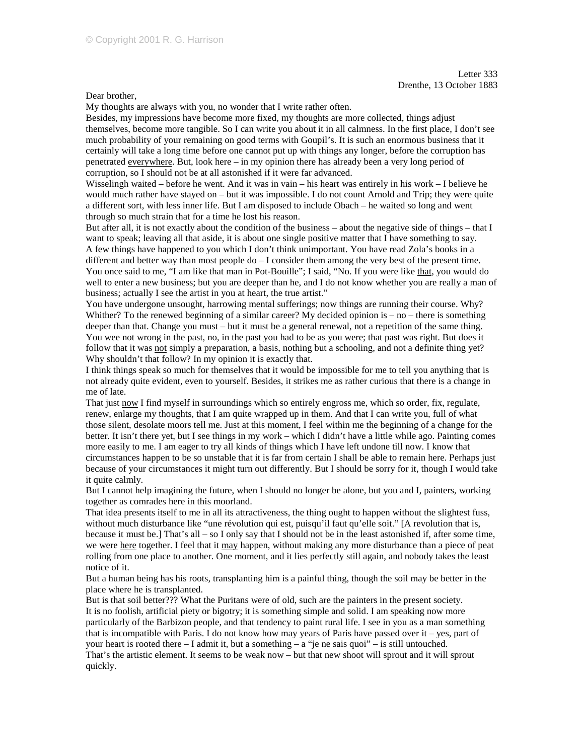Dear brother,

My thoughts are always with you, no wonder that I write rather often.

Besides, my impressions have become more fixed, my thoughts are more collected, things adjust themselves, become more tangible. So I can write you about it in all calmness. In the first place, I don't see much probability of your remaining on good terms with Goupil's. It is such an enormous business that it certainly will take a long time before one cannot put up with things any longer, before the corruption has penetrated everywhere. But, look here – in my opinion there has already been a very long period of corruption, so I should not be at all astonished if it were far advanced.

Wisselingh waited – before he went. And it was in vain – his heart was entirely in his work – I believe he would much rather have stayed on – but it was impossible. I do not count Arnold and Trip; they were quite a different sort, with less inner life. But I am disposed to include Obach – he waited so long and went through so much strain that for a time he lost his reason.

But after all, it is not exactly about the condition of the business – about the negative side of things – that I want to speak; leaving all that aside, it is about one single positive matter that I have something to say. A few things have happened to you which I don't think unimportant. You have read Zola's books in a different and better way than most people do – I consider them among the very best of the present time. You once said to me, "I am like that man in Pot-Bouille"; I said, "No. If you were like that, you would do well to enter a new business; but you are deeper than he, and I do not know whether you are really a man of business; actually I see the artist in you at heart, the true artist."

You have undergone unsought, harrowing mental sufferings; now things are running their course. Why? Whither? To the renewed beginning of a similar career? My decided opinion is  $-$  no  $-$  there is something deeper than that. Change you must – but it must be a general renewal, not a repetition of the same thing. You wee not wrong in the past, no, in the past you had to be as you were; that past was right. But does it follow that it was not simply a preparation, a basis, nothing but a schooling, and not a definite thing yet? Why shouldn't that follow? In my opinion it is exactly that.

I think things speak so much for themselves that it would be impossible for me to tell you anything that is not already quite evident, even to yourself. Besides, it strikes me as rather curious that there is a change in me of late.

That just now I find myself in surroundings which so entirely engross me, which so order, fix, regulate, renew, enlarge my thoughts, that I am quite wrapped up in them. And that I can write you, full of what those silent, desolate moors tell me. Just at this moment, I feel within me the beginning of a change for the better. It isn't there yet, but I see things in my work – which I didn't have a little while ago. Painting comes more easily to me. I am eager to try all kinds of things which I have left undone till now. I know that circumstances happen to be so unstable that it is far from certain I shall be able to remain here. Perhaps just because of your circumstances it might turn out differently. But I should be sorry for it, though I would take it quite calmly.

But I cannot help imagining the future, when I should no longer be alone, but you and I, painters, working together as comrades here in this moorland.

That idea presents itself to me in all its attractiveness, the thing ought to happen without the slightest fuss, without much disturbance like "une révolution qui est, puisqu'il faut qu'elle soit." [A revolution that is, because it must be.] That's all – so I only say that I should not be in the least astonished if, after some time, we were here together. I feel that it may happen, without making any more disturbance than a piece of peat rolling from one place to another. One moment, and it lies perfectly still again, and nobody takes the least notice of it.

But a human being has his roots, transplanting him is a painful thing, though the soil may be better in the place where he is transplanted.

But is that soil better??? What the Puritans were of old, such are the painters in the present society. It is no foolish, artificial piety or bigotry; it is something simple and solid. I am speaking now more particularly of the Barbizon people, and that tendency to paint rural life. I see in you as a man something that is incompatible with Paris. I do not know how may years of Paris have passed over it – yes, part of your heart is rooted there – I admit it, but a something – a "je ne sais quoi" – is still untouched. That's the artistic element. It seems to be weak now – but that new shoot will sprout and it will sprout quickly.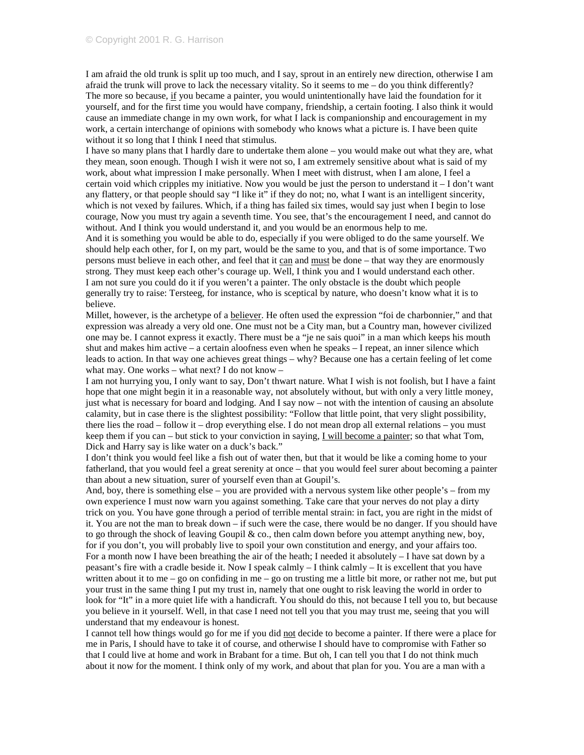I am afraid the old trunk is split up too much, and I say, sprout in an entirely new direction, otherwise I am afraid the trunk will prove to lack the necessary vitality. So it seems to me – do you think differently? The more so because, if you became a painter, you would unintentionally have laid the foundation for it yourself, and for the first time you would have company, friendship, a certain footing. I also think it would cause an immediate change in my own work, for what I lack is companionship and encouragement in my work, a certain interchange of opinions with somebody who knows what a picture is. I have been quite without it so long that I think I need that stimulus.

I have so many plans that I hardly dare to undertake them alone – you would make out what they are, what they mean, soon enough. Though I wish it were not so, I am extremely sensitive about what is said of my work, about what impression I make personally. When I meet with distrust, when I am alone, I feel a certain void which cripples my initiative. Now you would be just the person to understand it – I don't want any flattery, or that people should say "I like it" if they do not; no, what I want is an intelligent sincerity, which is not vexed by failures. Which, if a thing has failed six times, would say just when I begin to lose courage, Now you must try again a seventh time. You see, that's the encouragement I need, and cannot do without. And I think you would understand it, and you would be an enormous help to me.

And it is something you would be able to do, especially if you were obliged to do the same yourself. We should help each other, for I, on my part, would be the same to you, and that is of some importance. Two persons must believe in each other, and feel that it can and must be done – that way they are enormously strong. They must keep each other's courage up. Well, I think you and I would understand each other. I am not sure you could do it if you weren't a painter. The only obstacle is the doubt which people generally try to raise: Tersteeg, for instance, who is sceptical by nature, who doesn't know what it is to believe.

Millet, however, is the archetype of a believer. He often used the expression "foi de charbonnier," and that expression was already a very old one. One must not be a City man, but a Country man, however civilized one may be. I cannot express it exactly. There must be a "je ne sais quoi" in a man which keeps his mouth shut and makes him active – a certain aloofness even when he speaks – I repeat, an inner silence which leads to action. In that way one achieves great things – why? Because one has a certain feeling of let come what may. One works – what next? I do not know –

I am not hurrying you, I only want to say, Don't thwart nature. What I wish is not foolish, but I have a faint hope that one might begin it in a reasonable way, not absolutely without, but with only a very little money, just what is necessary for board and lodging. And I say now – not with the intention of causing an absolute calamity, but in case there is the slightest possibility: "Follow that little point, that very slight possibility, there lies the road – follow it – drop everything else. I do not mean drop all external relations – you must keep them if you can – but stick to your conviction in saying, I will become a painter; so that what Tom, Dick and Harry say is like water on a duck's back."

I don't think you would feel like a fish out of water then, but that it would be like a coming home to your fatherland, that you would feel a great serenity at once – that you would feel surer about becoming a painter than about a new situation, surer of yourself even than at Goupil's.

And, boy, there is something else – you are provided with a nervous system like other people's – from my own experience I must now warn you against something. Take care that your nerves do not play a dirty trick on you. You have gone through a period of terrible mental strain: in fact, you are right in the midst of it. You are not the man to break down – if such were the case, there would be no danger. If you should have to go through the shock of leaving Goupil  $\&$  co., then calm down before you attempt anything new, boy, for if you don't, you will probably live to spoil your own constitution and energy, and your affairs too. For a month now I have been breathing the air of the heath; I needed it absolutely – I have sat down by a peasant's fire with a cradle beside it. Now I speak calmly – I think calmly – It is excellent that you have written about it to me – go on confiding in me – go on trusting me a little bit more, or rather not me, but put your trust in the same thing I put my trust in, namely that one ought to risk leaving the world in order to look for "It" in a more quiet life with a handicraft. You should do this, not because I tell you to, but because you believe in it yourself. Well, in that case I need not tell you that you may trust me, seeing that you will understand that my endeavour is honest.

I cannot tell how things would go for me if you did not decide to become a painter. If there were a place for me in Paris, I should have to take it of course, and otherwise I should have to compromise with Father so that I could live at home and work in Brabant for a time. But oh, I can tell you that I do not think much about it now for the moment. I think only of my work, and about that plan for you. You are a man with a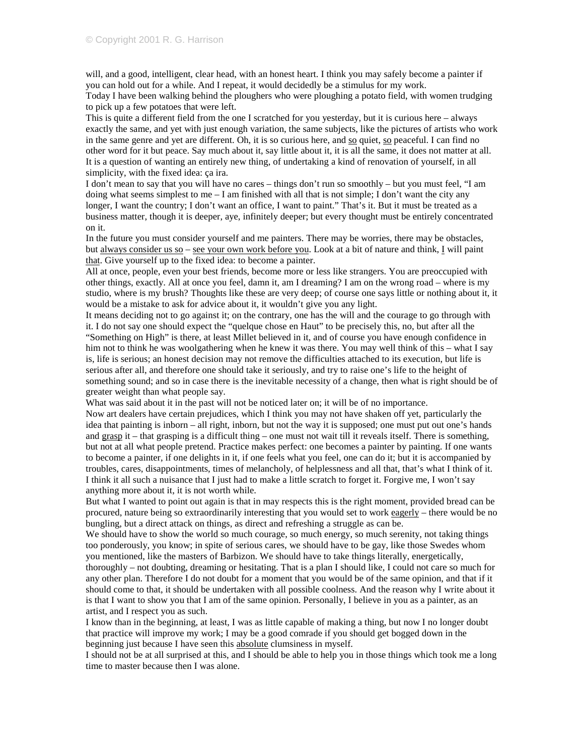will, and a good, intelligent, clear head, with an honest heart. I think you may safely become a painter if you can hold out for a while. And I repeat, it would decidedly be a stimulus for my work. Today I have been walking behind the ploughers who were ploughing a potato field, with women trudging to pick up a few potatoes that were left.

This is quite a different field from the one I scratched for you yesterday, but it is curious here – always exactly the same, and yet with just enough variation, the same subjects, like the pictures of artists who work in the same genre and yet are different. Oh, it is so curious here, and so quiet, so peaceful. I can find no other word for it but peace. Say much about it, say little about it, it is all the same, it does not matter at all. It is a question of wanting an entirely new thing, of undertaking a kind of renovation of yourself, in all simplicity, with the fixed idea: ça ira.

I don't mean to say that you will have no cares – things don't run so smoothly – but you must feel, "I am doing what seems simplest to me  $-I$  am finished with all that is not simple; I don't want the city any longer, I want the country; I don't want an office, I want to paint." That's it. But it must be treated as a business matter, though it is deeper, aye, infinitely deeper; but every thought must be entirely concentrated on it.

In the future you must consider yourself and me painters. There may be worries, there may be obstacles, but always consider us so *–* see your own work before you. Look at a bit of nature and think, I will paint that. Give yourself up to the fixed idea: to become a painter.

All at once, people, even your best friends, become more or less like strangers. You are preoccupied with other things, exactly. All at once you feel, damn it, am I dreaming? I am on the wrong road – where is my studio, where is my brush? Thoughts like these are very deep; of course one says little or nothing about it, it would be a mistake to ask for advice about it, it wouldn't give you any light.

It means deciding not to go against it; on the contrary, one has the will and the courage to go through with it. I do not say one should expect the "quelque chose en Haut" to be precisely this, no, but after all the "Something on High" is there, at least Millet believed in it, and of course you have enough confidence in him not to think he was woolgathering when he knew it was there. You may well think of this – what I say is, life is serious; an honest decision may not remove the difficulties attached to its execution, but life is serious after all, and therefore one should take it seriously, and try to raise one's life to the height of something sound; and so in case there is the inevitable necessity of a change, then what is right should be of greater weight than what people say.

What was said about it in the past will not be noticed later on; it will be of no importance.

Now art dealers have certain prejudices, which I think you may not have shaken off yet, particularly the idea that painting is inborn – all right, inborn, but not the way it is supposed; one must put out one's hands and grasp it – that grasping is a difficult thing – one must not wait till it reveals itself. There is something, but not at all what people pretend. Practice makes perfect: one becomes a painter by painting. If one wants to become a painter, if one delights in it, if one feels what you feel, one can do it; but it is accompanied by troubles, cares, disappointments, times of melancholy, of helplessness and all that, that's what I think of it. I think it all such a nuisance that I just had to make a little scratch to forget it. Forgive me, I won't say anything more about it, it is not worth while.

But what I wanted to point out again is that in may respects this is the right moment, provided bread can be procured, nature being so extraordinarily interesting that you would set to work eagerly – there would be no bungling, but a direct attack on things, as direct and refreshing a struggle as can be.

We should have to show the world so much courage, so much energy, so much serenity, not taking things too ponderously, you know; in spite of serious cares, we should have to be gay, like those Swedes whom you mentioned, like the masters of Barbizon. We should have to take things literally, energetically,

thoroughly – not doubting, dreaming or hesitating. That is a plan I should like, I could not care so much for any other plan. Therefore I do not doubt for a moment that you would be of the same opinion, and that if it should come to that, it should be undertaken with all possible coolness. And the reason why I write about it is that I want to show you that I am of the same opinion. Personally, I believe in you as a painter, as an artist, and I respect you as such.

I know than in the beginning, at least, I was as little capable of making a thing, but now I no longer doubt that practice will improve my work; I may be a good comrade if you should get bogged down in the beginning just because I have seen this absolute clumsiness in myself.

I should not be at all surprised at this, and I should be able to help you in those things which took me a long time to master because then I was alone.